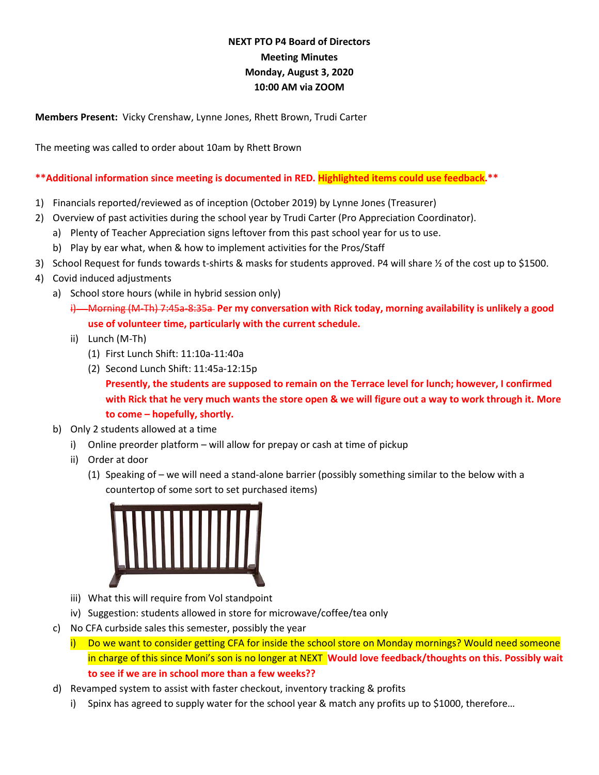# **NEXT PTO P4 Board of Directors Meeting Minutes Monday, August 3, 2020 10:00 AM via ZOOM**

**Members Present:** Vicky Crenshaw, Lynne Jones, Rhett Brown, Trudi Carter

The meeting was called to order about 10am by Rhett Brown

### **\*\*Additional information since meeting is documented in RED. Highlighted items could use feedback.\*\***

- 1) Financials reported/reviewed as of inception (October 2019) by Lynne Jones (Treasurer)
- 2) Overview of past activities during the school year by Trudi Carter (Pro Appreciation Coordinator).
	- a) Plenty of Teacher Appreciation signs leftover from this past school year for us to use.
	- b) Play by ear what, when & how to implement activities for the Pros/Staff
- 3) School Request for funds towards t-shirts & masks for students approved. P4 will share ½ of the cost up to \$1500.
- 4) Covid induced adjustments
	- a) School store hours (while in hybrid session only)
		- i) Morning (M-Th) 7:45a-8:35a **Per my conversation with Rick today, morning availability is unlikely a good use of volunteer time, particularly with the current schedule.**
		- ii) Lunch (M-Th)
			- (1) First Lunch Shift: 11:10a-11:40a
			- (2) Second Lunch Shift: 11:45a-12:15p **Presently, the students are supposed to remain on the Terrace level for lunch; however, I confirmed with Rick that he very much wants the store open & we will figure out a way to work through it. More to come – hopefully, shortly.**
	- b) Only 2 students allowed at a time
		- i) Online preorder platform will allow for prepay or cash at time of pickup
		- ii) Order at door
			- (1) Speaking of we will need a stand-alone barrier (possibly something similar to the below with a countertop of some sort to set purchased items)



- iii) What this will require from Vol standpoint
- iv) Suggestion: students allowed in store for microwave/coffee/tea only
- c) No CFA curbside sales this semester, possibly the year
	- i) Do we want to consider getting CFA for inside the school store on Monday mornings? Would need someone in charge of this since Moni's son is no longer at NEXT **Would love feedback/thoughts on this. Possibly wait to see if we are in school more than a few weeks??**
- d) Revamped system to assist with faster checkout, inventory tracking & profits
	- i) Spinx has agreed to supply water for the school year & match any profits up to \$1000, therefore…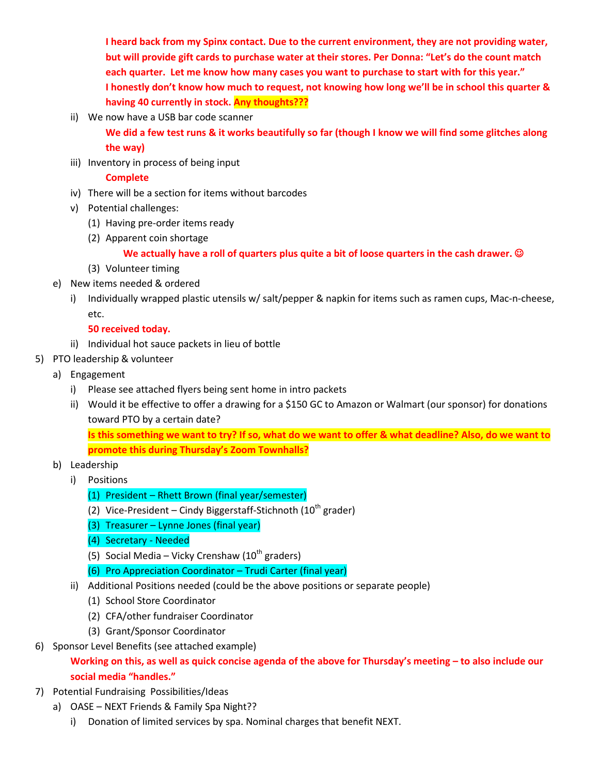**I heard back from my Spinx contact. Due to the current environment, they are not providing water, but will provide gift cards to purchase water at their stores. Per Donna: "Let's do the count match each quarter. Let me know how many cases you want to purchase to start with for this year." I honestly don't know how much to request, not knowing how long we'll be in school this quarter & having 40 currently in stock. Any thoughts???**

ii) We now have a USB bar code scanner

**We did a few test runs & it works beautifully so far (though I know we will find some glitches along the way)**

iii) Inventory in process of being input

### **Complete**

- iv) There will be a section for items without barcodes
- v) Potential challenges:
	- (1) Having pre-order items ready
	- (2) Apparent coin shortage

## **We actually have a roll of quarters plus quite a bit of loose quarters in the cash drawer.**

- (3) Volunteer timing
- e) New items needed & ordered
	- i) Individually wrapped plastic utensils w/ salt/pepper & napkin for items such as ramen cups, Mac-n-cheese, etc.

### **50 received today.**

- ii) Individual hot sauce packets in lieu of bottle
- 5) PTO leadership & volunteer
	- a) Engagement
		- i) Please see attached flyers being sent home in intro packets
		- ii) Would it be effective to offer a drawing for a \$150 GC to Amazon or Walmart (our sponsor) for donations toward PTO by a certain date?

**Is this something we want to try? If so, what do we want to offer & what deadline? Also, do we want to promote this during Thursday's Zoom Townhalls?**

- b) Leadership
	- i) Positions
		- (1) President Rhett Brown (final year/semester)
		- (2) Vice-President Cindy Biggerstaff-Stichnoth (10<sup>th</sup> grader)
		- (3) Treasurer Lynne Jones (final year)
		- (4) Secretary Needed
		- (5) Social Media Vicky Crenshaw ( $10^{th}$  graders)
		- (6) Pro Appreciation Coordinator Trudi Carter (final year)
	- ii) Additional Positions needed (could be the above positions or separate people)
		- (1) School Store Coordinator
		- (2) CFA/other fundraiser Coordinator
		- (3) Grant/Sponsor Coordinator
- 6) Sponsor Level Benefits (see attached example)

## **Working on this, as well as quick concise agenda of the above for Thursday's meeting – to also include our social media "handles."**

- 7) Potential Fundraising Possibilities/Ideas
	- a) OASE NEXT Friends & Family Spa Night??
		- i) Donation of limited services by spa. Nominal charges that benefit NEXT.